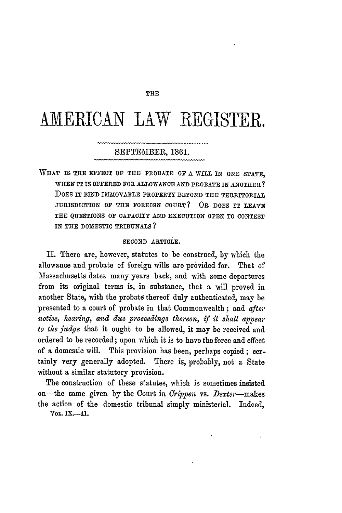## **THE**

# **AMERICAN** LAW REGISTER,

## SEPTEMBER, 1861.

**WHAT IS THE EFFECT OF THE** PROBATE OF **A WILL IN ONE STATE, WHEN** IT **IS OFFERED FOR ALLOWANCE AND PROBATE** IN ANOTHER? **DOES** IT **BIND** IMMOVABLE PROPERTY **BEYOND THE** TERRITORIAL JURISDICTION OF **THE** FOREIGN COURT? **OR DOES** IT **LEAVE THE QUESTIONS OF CAPACITY AND** EXECUTION OPEN TO **CONTEST IN THE DOMESTIC TRIBUNALS?**

## **SECOND ARTICLE.**

II. There are, however, statutes to be construed, **by** which the allowance and probate of foreign wills are provided for. That of Massachusetts dates many years back, and with some departures from its original terms is, in substance, that a will proved in another State, with the probate thereof duly authenticated, may be presented to a court of probate in that Commonwealth; and *after notice, hearing, and due proceedings thereon, if it shall appear to the judge* that it ought to be allowed, it may be received and ordered to be recorded; upon which it is to have the force and effect of a domestic will. This provision has been, perhaps copied; certainly very generally adopted. There is, probably, not a State without a similar statutory provision.

The construction of these statutes, which is sometimes insisted on-the same given by the Court in *Crippen* vs. *Dexter*-makes the action of the domestic tribunal simply ministerial. Indeed,

**VOL.** IX.-41.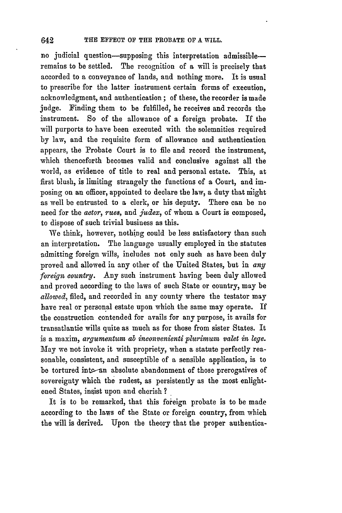no judicial question-supposing this interpretation admissibleremains to be settled. The recognition of a will is precisely that accorded to a conveyance of lands, and nothing more. It is usual to prescribe for the latter instrument certain forms of execution, acknowledgment, and authentication; of these, the recorder is made judge. Finding them to be fulfilled, he receives and records the instrument. So of the allowance of a foreign probate. If the will purports to have been executed with the solemnities required **by** law, and the requisite form of allowance and authentication appears, the Probate Court is to file and record the instrument, which thenceforth becomes valid and conclusive against all the world, as evidence of title to real and personal estate. This, at first blush, is limiting strangely the functions of a Court, and imposing on an officer, appointed to declare the law, a duty that night as well be entrusted to a clerk, or his deputy. There can be no need for the actor, rues, and *judez,* of whom a Court is composed, to dispose of such trivial business as this.

We think, however, nothing could be less satisfactory than such an interpretation. The language usually employed in the statutes admitting foreign wills, includes not only such as have been duly proved and allowed in any other of the United States, but in *any foreign country.* Any such instrument having been duly allowed and proved according to the laws of such State or country, may be *allowed,* filed, and recorded in any county where the testator may have real or personal estate upon which the same may operate. If the construction contended for avails for any purpose, it avails for transatlantic wills quite as much as for those from sister States. It is a maxim, *argumentum ab inconvenienti plurimum valet in lege.* May we not invoke it with propriety, when a statute perfectly reasonable, consistent, and susceptible of a sensible application, is to be tortured inte-an absolute abandonment of those prerogatives of sovereignty which the rudest, as persistently as the most enlightened States, insist upon and cherish ?

It is to be remarked, that this foreign probate is to be made according to the laws of the State or foreign country, from which the will is derived. Upon the theory that the proper authentica-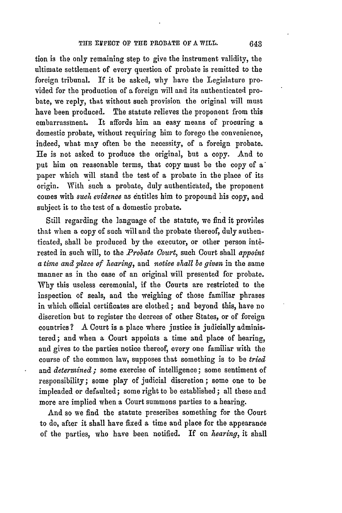tion is the only remaining step to give the instrument validity, the ultimate settlement of every question of probate is remitted to the foreign tribunal. If it be asked, why have the Legislature provided for the production of a foreign will and its authenticated probate, we reply, that without such provision the original will must have been produced. The statute relieves the proponent from this embarrassment. It affords him an easy means of procuring a domestic probate, without requiring him to forego the convenience, indeed, what may often be the necessity, of a foreign probate. **He** is not asked to produce the original, but a copy. And to put him on reasonable terms, that copy must be the copy of a paper which will stand the test of a probate in the place of its origin. With such a probate, duly authenticated, the proponent comes with *such evidence* as entitles him to propound his copy, and subject it to the test of a domestic probate.

Still regarding the language of the statute, we find it provides that when a copy of such will and the probate thereof, duly authenticated, shall be produced by the executor, or other person interested in such will, to the *Probate Court,* such Court shall *appoint a time and place of hearing,* and *notice shall be given* in the same manner as in the case of an original will presented for probate. Why this useless ceremonial, if the Courts are restricted to the inspection of seals, and the weighing of those familiar phrases in which official certificates are clothed ; and beyond this, have no discretion but to register the decrees of other States, or of foreign countries ? A Court is a place where justice is judicially administered; and when a Court appoints a time and place of hearing, and gives to the parties notice thereof, every one familiar with the course of the common law, supposes that something is to be *tried* and *determined;* some exercise of intelligence; some sentiment of responsibility; some play of judicial discretion; some one to be impleaded or defaulted; some right to be established ; all these and more are implied when a Court summons parties to a hearing.

And so we find the statute prescribes something for the Court to do, after it shall have fixed a time and place for the appearande of the parties, who have been notified. If on *hearing,* it shall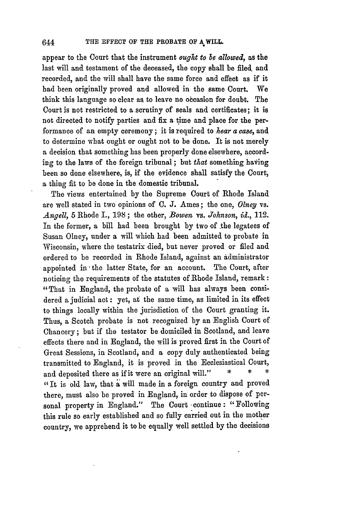appear to the Court that the instrument *ought to be allowed,* as the last will and testament of the deceased, the copy shall be filed, and recorded, and the will shall have the same force and effect as if it **had** been originally proved and allowed in the same Court. We think this language so clear as to leave no obcasion for doubt. The Court is not restricted to a scrutiny of seals and certificates; it is not directed to notify parties and fix a time and place for the performance of an empty ceremony; it is required to *hear a case,* and to determine what ought or ought not to be done. It is not merely a decision that something has been properly done elsewhere, according to the laws of the foreign tribunal; but *that* something having been so done elsewhere, is, if the evidence shall satisfy the Court, a thing fit to be done in the domestic tribunal.

The views entertained by the Supreme Court of Rhode Island are well stated in two opinions of C. **J.** Ames; the one, *Olney* vs. *Angell,* 5 Rhode I., 198; the other, *Bowen* vs. *Johnson, id.,* 112. In the former, a bill had been brought by two of the legatees of Susan Olney, under a will which had been admitted to probate in Wisconsin, where the testatrix died, but never proved or filed and ordered to be recorded in Rhode Island, against an idministrator appointed in the latter State, for an account. The Court, after noticing the requirements of the statutes of Rhode Island, remark: "That in England, the probate of a will has always been considered a judicial act : yet, at the same time, as limited in its effect to things locally within the jurisdiction of the Court granting it. Thus, a Scotch probate is not recognized by an English Court of Chancery; but if the testator be domiciled in Scotland, and leave effects there and in England, the will is proved first in the Court of Great Sessions, in Scotland, and a copy duly authenticated being transmitted to England, it is proved in the Ecclesiastical Court, and deposited there as if it were an original will."  $*$  \* \* *"It* is old law, that a will made in a foreign country and proved there, must also be proved in England, in order to dispose of personal property in England." The Court continue: "Following this rule so early established and so fully carried out in the mother country, we apprehend it to be equally well settled by the decisions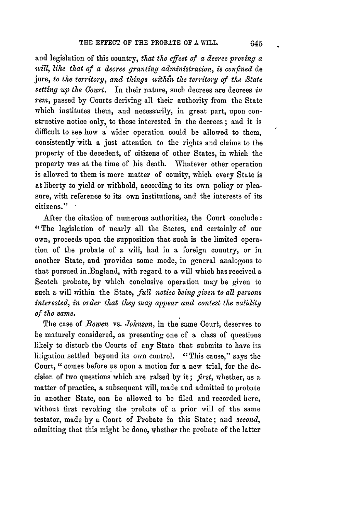and legislation of this country, *that the effect of a decree proving a will, like that of a decree granting administration, is confined* de jure, *to the territory, and things within the territory of the State setting up the Court.* In their nature, such decrees are decrees *in remn,* passed by Courts deriving all their authority from the State which institutes them, and necessarily, in great part, upon constructive notice only, to those interested in the decrees ; and it is difficult to see how a wider operation could be allowed to them, consistently with a just attention to the rights and claims to the property of the decedent, of citizens of other States, in which the property was at the time of his death. Whatever other operation is allowed to them is mere matter of comity, which every State is at liberty to yield or withhold, according to its own policy or pleasure, with reference to its own institutions, and the interests of its citizens."

After the citation of numerous authorities, the Court conclude: "The legislation of nearly all the States, and certainly of our own, proceeds upon the supposition that such is the limited operation of the probate of a will, had in a foreign country, or in another State, and provides some mode, in general analogous to that pursued in England, with regard to a will which has received a Scotch probate, by which conclusive operation may be given to such a will within the State, *full notice being given to all persons interested, in order that they may appear and contest the validity of the same.*

The case of *Bowen* vs. *Johnson,* in the same Court, deserves to be maturely considered, as presenting one of a class of questions likely to disturb the Courts of any State that submits to have its litigation settled beyond its own control. "This cause," says the Court, **"** comes before us upon a motion for a new trial, for the decision of two questions which are raised by it; *first,* whether, as a matter of practice, a subsequent will, made and admitted to probate in another State, can be allowed to be filed and recorded here, without first revoking the probate of a prior will of the same testator, made by a Court of Probate in this State; and *second,* admitting that this might be done, whether the probate of the latter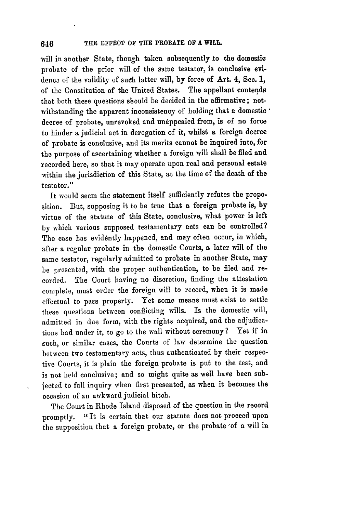will in another State, though taken subsequently to the domestic probate of the prior will of the same testator, is conclusive evidenc3 of the validity of such latter will, **by** force of Art. 4, Sec. **1,** of the Constitution of the United States. The appellant contends that both these questions should be decided in the affirmative; notwithstanding the apparent inconsistency of holding that a domestic. decree of probate, unrevoked and unappealed from, is of no force to hinder a judicial act in derogation of it, whilst a foreign decree of probate is conclusive, and its merits cannot be inquired into, for the purpose of ascertaining whether a foreign will shall be filed and recorded here, so that it may operate upon real and personal estate within the jurisdiction of this State, **at** the time of the death of the testator."

It would seem the statement itself sufficiently refutes the proposition. But, supposing it to be true that a foreign probate is, **by** virtue of the statute of this State, conclusive, what power is left **by** which various supposed testamentary acts can be controlled? The case has evidently happened, and may often occur, in which, after a regular probate in the domestic Courts, a later will of the same testator, regularly admitted to probate in another State, may be presented, with the proper authentication, to be filed and recorded. The Court having no discretion, finding the attestation complete, must order the foreign will to record, when it is made effectual to pass property. Yet some means must exist to settle these questions between conflicting wills. Is the domestic will, adnitted in due form, with the rights acquired, and the adjudications had under it, to go to the wall without ceremony? Yet if in such, or similar cases, the Courts of law determine the question between two testamentary acts, thus authenticated by their respective Courts, it is plain the foreign probate is put to the test, and is not held conclusive; and so might quite as well have been subjected to full inquiry when first presented, as when it becomes the occasion of an awkward judicial hitch.

The Court in Rhode Island disposed of the question in the record promptly. "It is certain that our statute does not proceed upon the supposition that a foreign probate, or the probate *'of* a will in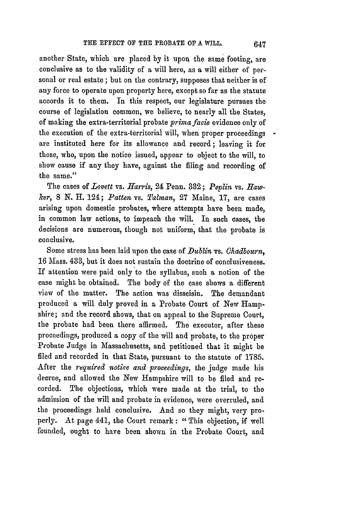another State, which are placed by it upon the same footing, are conclusive as to the validity of a will here, as a will either of personal or real estate ; but on the contrary, supposes that neither is of any force to operate upon property here, except so far as the statute accords it to them. In this respect, our legislature pursues the course of legislation common, we believe, to nearly all the States, of making the extra-territorial probate *primafacie* evidence only of the execution of the extra-territorial will, when proper proceedings . are instituted here for its allowance and record; leaving it for those, who, upon the notice issued, appear to object to the will, to show cause if any they have, against the filing and recording of the same."

The cases of *Lovett* vs. *Harris,* 24 Penn. **832;** *Peplin* vs. *Hawker,* 8 N. H. 124; *Patten* vs. *Talman,* 27 Maine, **17,** are cases arising upon domestic probates, where attempts have been made, in common law actions, to impeach the will. In such cases, the decisions are numerous, though not uniform, that the probate is conclusive.

Some stress has been laid upon the case of *Dublin* vs. *Ohadbourn,* **16** Mass. 433, but it does not sustain the doctrine of conclusiveness. If attention were paid only to the syllabus, such a notion of the case might be obtained. The body of the case shows a different view of the matter. The action was disseisin. The demandant produced a will duly proved in a Probate Court of New Hampshire; and the record shows, that on appeal to the Supreme Court, the probate had been there affirmed. The executor, after these proceedings, produced a copy of the will and probate, to the proper Probate Judge in Massachusetts, and petitioned that it might be filed and recorded in that State, pursuant to the statute of 1785. After the *required notice and proceedings,* the judge made his decree, and allowed the New Hampshire will to be filed and recorded. The objections, which were made at the trial, to the admission of the will and probate in evidence, were overruled, and the proceedings held conclusive. And so they might, very properly. At page 441, the Court remark: "This objection, if well founded, ought to have been shown in the Probate Court, and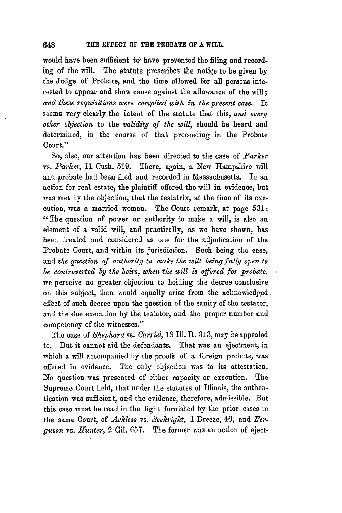#### **THE EFFECT OF THE PROBATE OF A WILL.** 648

would have been sufficient **to'** have prevented the filing and recording of the will. The statute prescribes the notice to be given **by** the Judge of Probate, and the time allowed for all persons interested to appear and show cause against the allowance of the will; *and these requisitions were complied with in the present case.* It seems very clearly the intent of the statute that this, *and every other objection* to the *validity of the will,* should be heard and determined, in the course of that proceeding in the Probate Court."

So, also, our attention has been directed to the case of *Parker* vs. *Parker*, 11 Cush. 519. There, again, a New Hampshire will and probate had been filed and recorded in Massachusetts. In an action for real estate, the plaintiff offered the will in evidence, but was met **by** the objection, that the testatrix, at the time of its execution, was a married woman. The Court remark, at page **531:** "The question of power or authority to make a will, is also an element of a valid will, and practically, as we have shown, has been treated and considered as one for the adjudication of the Probate Court, and within its jurisdiction. Such being the case, and *the question of authority to make the will being fully open to be controverted by the heirs, when the will is offered for probate,* we perceive no greater objection to holding the decree conclusive on this subject, than would equally arise from the acknowledged. effect of such decree upon the question of the sanity of the testator, and the due execution by the testator, and the proper number and competency of the witnesses."

The case of *Shephard* vs. *Carriel*, 19 Ill. R. 313, may be appealed to. But it cannot aid the defendants. That was an ejectment, in which a will accompanied by the proofs of a foreign probate, was offered in evidence. The only objection was to its attestation. No question was presented of either capacity or execution. The Supreme Court held, that under the statutes of Illinois, the authentication was sufficient, and the evidence, therefore, admissible. But this case must be read in the light furnished **by** the prior cases in the same Court, of *Ackless* vs. *Seekright,* 1 Breeze, 46, and *Fer*guson vs. Hunter, 2 Gil. 657. The former was an action of eject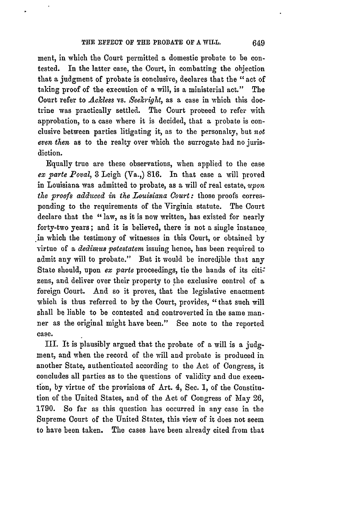ment, in which the Court permitted a domestic probate to be contested. In the latter case, the Court, in combatting the objection that a judgment of probate is conclusive, declares that the "act of taking proof of the execution of a will, is a ministerial act." The Court refer to *Ackleas* vs. *Seelcright,* as a case in which this doctrine was practically settled. The Court proceed to refer with approbation, to a case where it is decided, that **a** probate is conclusive between parties litigating it, as to the personalty, but not *even then* as to the realty over which the surrogate **had** no jurisdiction.

Equally true are these observations, when applied to the case *ex parte Poval,* **3** Leigh (Va.,) **816.** In that case a will proved in Louisiana was admitted to probate, as a will of real estate, upon *the proofs adduced in the Louisiana Oourt:* those proofs corresponding to the requirements of the Virginia statute. The Court declare that the "law, as it is now written, has existed for nearly forty-two years; and it is believed, there is not a single instance in which the testimony of witnesses in this Court, or obtained **by** virtue of a *dedimus potestatem* issuing hence, has been required to admit any will to probate." But it would be incredible that any State should, upon *ex parte* proceedings, tie the hands of its citizens, and deliver over their property to the exclusive control of a foreign Court. And so it proves, that the legislative enactment which is thus referred to by the Court, provides, "that such will shall be liable to be contested and controverted in the same manner as the original might have been." See note to the reported case.

III. It is plausibly argued that the probate of a will is a **judg**ment, and when the record of the will and probate is produced in another State, authenticated according to the Act of Congress, it concludes all parties as to the questions of validity and due execution, **by** virtue of the provisions of Art. 4, See. **1,** of the Constitution of the United States, and of the Act of Congress of May **26, 1790.** So far as this question has occurred in any case in the Supreme Court of the United States, this view of it does not seem to have been taken. The cases have been already cited from that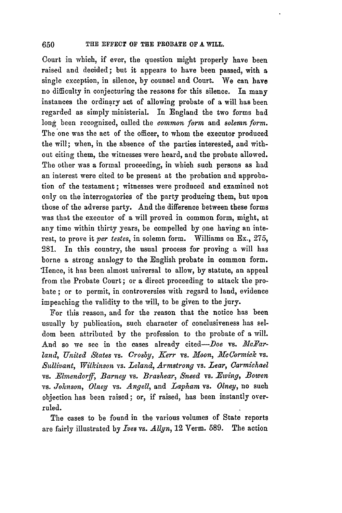Court in which, if ever, the question might properly have been raised and decided; but it appears to have been passed, with a single exception, in silence, by counsel and Court. We can have no difficulty in conjecturing the reasons for this silence. In many instances the ordinary act of allowing probate of a will has been regarded as simply ministerial. In England the two forms bad long been recognized, called the *common form* and *solemn form.* The one was the act of the officer, to whom the executor produced the will; when, in the absence of the parties interested, and without citing them, the witnesses were heard, and the probate allowed. The other was a formal proceeding, in which such persons as had an interest were cited to be present at the probation and approbation of the testament ; witnesses were produced and examined not only on the interrogatories of the party producing them, but upon those of the adverse party. And the difference between these forms was that the executor of a will proved in common form, might, at any time within thirty years, **be** compelled **by** one having an interest, to prove it *per testes,* in solemn form. Williams on Ex., 275, 281. In this country, the usual process for proving a will has borne a strong analogy to the English probate in common form. 'Hence, it has been almost universal to allow, **by** statute, an appeal from the Probate Court; or a direct proceeding to attack the probate ; or to permit, in controversies with regard to land, evidence impeaching the validity to the will, to be given to the jury.

For this reason, and for the reason that the notice has been usually by publication, such character of conclusiveness has seldom been attributed **by** the profession to the probate of a will. And so we see in the cases already cited-Doe vs. McFar*land, United States* vs. *Crosby, Kerr vs. Moon, McCormick vs. Sullivant, Wilkinson* vs. *Leland, Armstrong* vs. *Lear, Carmichael* vs. *Elmendorff, Barney vs. Brashear, Sneed vs. Ewing, Bowen* vs. *Johnson, Olney* vs. *Angell,* and *Lapham* vs. *Olney,* no such objection has been raised; or, if raised, has been instantly overruled.

The cases to be found in the various volumes of State reports are fairly illustrated by *Ives* vs. *Allyn,* 12 Verm. 589. The action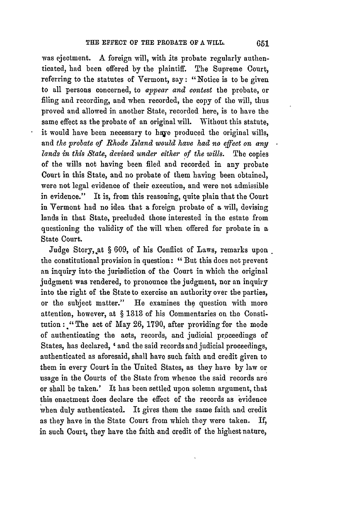was ejectment. A foreign will, with its probate regularly authenticated, had been offered by the plaintiff. The Supreme Court, referring to the statutes of Vermont, say: "Notice is to be given to all persons concerned, to *appear and contest* the probate, or filing and recording, and when recorded, the copy of the will, thus proved and allowed in another State, recorded here, is to have the same effect as the probate of an original will. Without this statute, it would have been necessary to have produced the original wills, and *the probate of Rhode Island would have had no effect on any lands in this State, devised under either of the wills.* The copies of the wills not having been filed and recorded in any probate Court in this State, and no probate of them having been obtained, were not legal evidence of their execution, and were not admissible in evidence." It is, from this reasoning, quite plain that the Court in Vermont had no idea that a foreign probate of a will, devising lands in that State, precluded those interested in the estate from questioning the validity of the will when offered for probate in a State Court.

Judge Story, at § 609, of his Conflict of Laws, remarks upon the constitutional provision in question: "But this does not prevent an inquiry into the jurisdiction of the Court in which the original judgment was rendered, to pronounce the judgment, nor an inquiry into the right of the State to exercise an authority over the parties, or the subject matter." He examines **the** question with more attention, however, at § 1313 of his Commentaries on the Constitution **: \*"** The act of May **26,** 1790, after providing for the mode of authenticating the acts, records, and judicial proceedings of States, has declared, ' and the said records and judicial proceedings, authenticated as aforesaid, shall have such faith and credit given to them in every Court in the United States, as they have **by** law or usage in the Courts of the State from whence the said records are or shall be taken.' It has been settled upon solemn argument, that this enactment does declare the effect of the records as evidence when duly authenticated. It gives them the same faith and credit as they have in the State Court from which they were taken. If, in such Court, they have the faith and credit of the highest nature,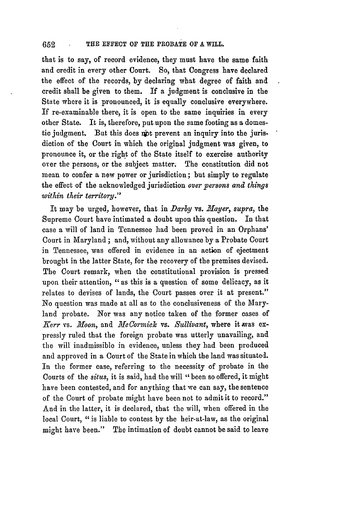#### 652 **THE EFFECT OF THE PROBATE OF A WILL.**

that is to say, of record evidence, they must have the same faith and credit in every other Court. So, that Congress have declared the effect of the records, **by** declaring what degree of faith and credit shall be given to them. If a judgment is conclusive in the State where it is pronounced, it is equally conclusive everywhere. If re-examinable there, it is open to the same inquiries in every other State. It is, therefore, put upon the same footing as a domestic judgment. But this does **ibt** prevent an inquiry into the jurisdiction of the Court in which the original judgment was given, to pronounce it, or the right of the State itself to exercise authority over the persons, or the subject matter. The constitution did not mean to confer a new power or jurisdiction; but simply to regulate the effect of the acknowledged jurisdiction *over persons and* things *within their territory."*

It may be urged, however, that in *Darby* vs. *Mayer*, supra, the Supreme Court have intimated a doubt upon this question. In that case a will of land in Tennessee had been proved in an Orphans' Court in Maryland; and, without any allowance **by** a Probate Court in Tennessee, was offered in evidence in an action of ejectment brought in the latter State, for the recovery of the premises devised. The Court remark, when the constitutional provision is pressed upon their attention, *"as* this is a question of some delicacy, as it relates to devises of lands, the Court passes over it at present." No question was made at all as to the conclusiveness of the Maryland probate. Nor was any notice taken of the former cases of *Kerr* vs. *Jlfoon,* and *HeCormick* vs. *Sullivant,* where itawas expressly ruled that the foreign probate was utterly unavailing, and the will inadmissible in evidence, unless they had been produced and approved in a Court of the State in which the land was situated. In the former case, referring to the necessity of probate in the Courts of the *situs,* it is said, had the will "been so offered, it might have been contested, and for anything that we can say, the sentence of the Court of probate might have been not to admit it to record." And in the latter, it is declared, that the will, when offered in the local Court, *"is* liable to contest **by** the heir-at-law, as the original might have been." The intimation of doubt cannot be said to leave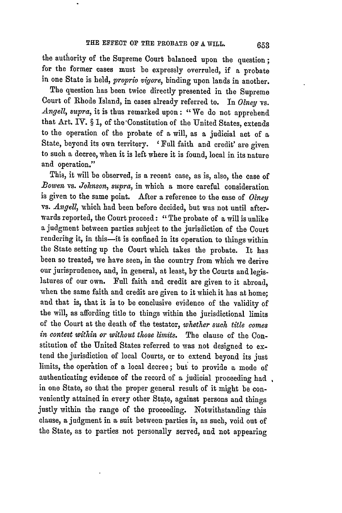the authority of the Supreme Court balanced upon the question; for the former cases must be expressly overruled, if a probate in one State is held, *proprio vigore,* binding upon lands in another.

The question has been twice directly presented in the Supreme Court of Rhode Island, in cases already referred to. In *Olney vs. Angell, supra,* it is thus remarked upon: "We do not apprehend that Art. IV. § **1,** of the 'Constitution of the United States, extends to the operation of the probate of a will, as a judicial act of a State, beyond its own territory. *'* Full faith and credit' are given to such a decree, when it is left where it is found, local in its nature and operation."

This, it will be observed, is a recent case, as is, also, the case of *Jowen* vs. *Johnson, supra,* in which a more careful consideration is given to the same point. After a reference to the case of *Olney* vs. *Angell,* which had been before decided, but was not until afterwards reported, the Court proceed: "The probate of a will is unlike a judgment between parties subject to the jurisdiction of the Court rendering it, in this-it is confined in its operation to things within the State setting up the Court which takes the probate. It has been so treated, we have seen, in the country from which we derive our jurisprudence, and, in general, at least, by the Courts and legislatures of our own. Full faith and credit are given to it abroad, when the same faith and credit are given to it which it has at home; and that is, that it is to be conclusive evidence of the validity of the will, as affording title to things within the jurisdictional limits of the Court at the death of the testator, *whether such title comes in contest within or without those limits.* The clause of the Constitution of the United States referred to was not designed to extend the jurisdiction of local Courts, or to extend beyond its just limits, the operation of a local decree; but to provide **a** mode of authenticating evidence of the record of a judicial proceeding had, in one State, so that the proper general result of it might be conveniently attained in every other State, against persons and things justly within the range of the proceeding. Notwithstanding this clause, a judgment in a suit between parties is, as such, void out of the State, as to parties not personally served, and not appearing